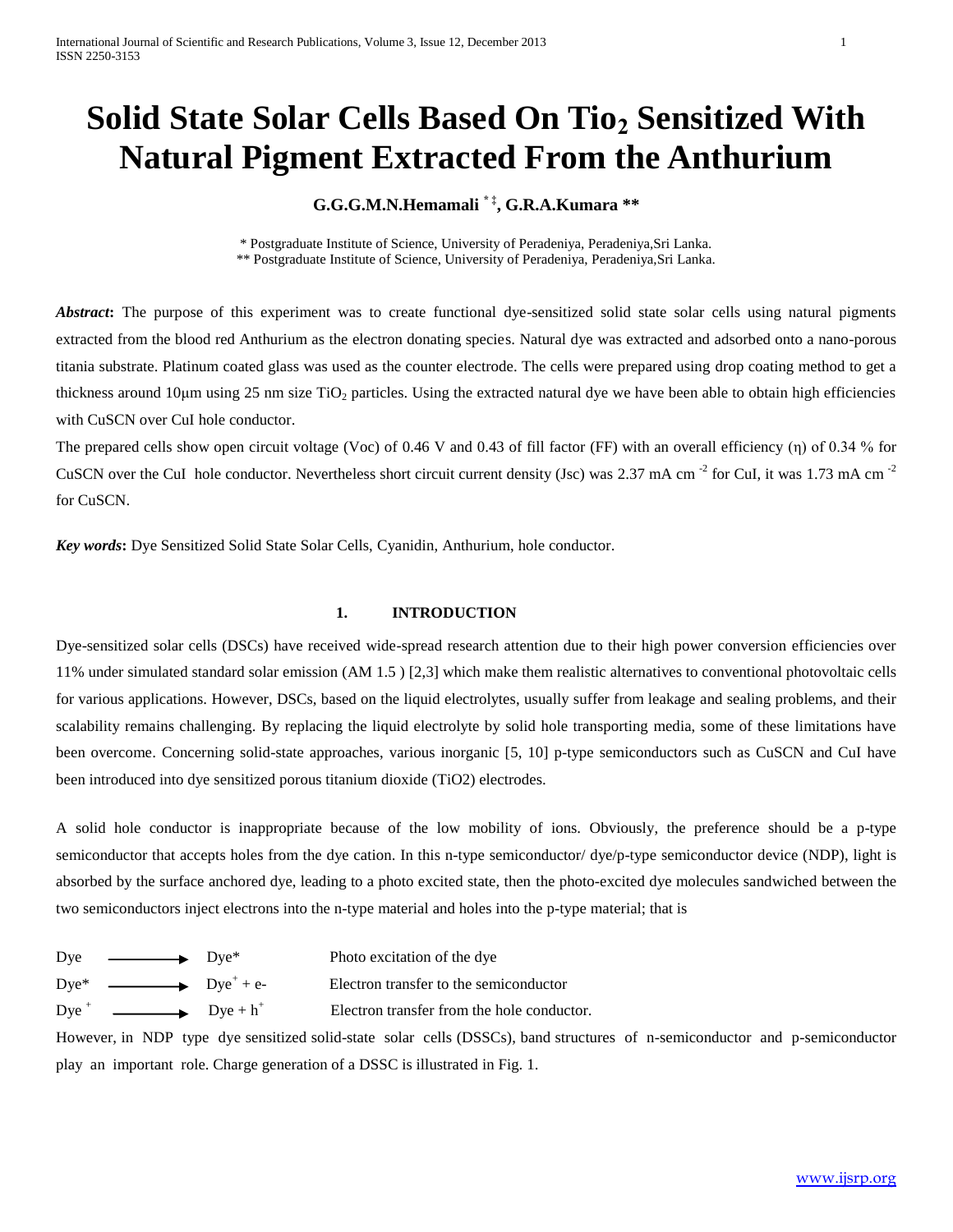# **Solid State Solar Cells Based On Tio<sup>2</sup> Sensitized With Natural Pigment Extracted From the Anthurium**

**G.G.G.M.N.Hemamali \* ‡, G.R.A.Kumara \*\***

\* Postgraduate Institute of Science, University of Peradeniya, Peradeniya,Sri Lanka. \*\* Postgraduate Institute of Science, University of Peradeniya, Peradeniya,Sri Lanka.

*Abstract*: The purpose of this experiment was to create functional dye-sensitized solid state solar cells using natural pigments extracted from the blood red Anthurium as the electron donating species. Natural dye was extracted and adsorbed onto a nano-porous titania substrate. Platinum coated glass was used as the counter electrode. The cells were prepared using drop coating method to get a thickness around 10 $\mu$ m using 25 nm size TiO<sub>2</sub> particles. Using the extracted natural dye we have been able to obtain high efficiencies with CuSCN over CuI hole conductor.

The prepared cells show open circuit voltage (Voc) of 0.46 V and 0.43 of fill factor (FF) with an overall efficiency (η) of 0.34 % for CuSCN over the CuI hole conductor. Nevertheless short circuit current density (Jsc) was 2.37 mA cm<sup>-2</sup> for CuI, it was 1.73 mA cm<sup>-2</sup> for CuSCN.

*Key words***:** Dye Sensitized Solid State Solar Cells, Cyanidin, Anthurium, hole conductor.

# **1. INTRODUCTION**

Dye-sensitized solar cells (DSCs) have received wide-spread research attention due to their high power conversion efficiencies over 11% under simulated standard solar emission (AM 1.5 ) [2,3] which make them realistic alternatives to conventional photovoltaic cells for various applications. However, DSCs, based on the liquid electrolytes, usually suffer from leakage and sealing problems, and their scalability remains challenging. By replacing the liquid electrolyte by solid hole transporting media, some of these limitations have been overcome. Concerning solid-state approaches, various inorganic [5, 10] p-type semiconductors such as CuSCN and CuI have been introduced into dye sensitized porous titanium dioxide (TiO2) electrodes.

A solid hole conductor is inappropriate because of the low mobility of ions. Obviously, the preference should be a p-type semiconductor that accepts holes from the dye cation. In this n-type semiconductor/ dye/p-type semiconductor device (NDP), light is absorbed by the surface anchored dye, leading to a photo excited state, then the photo-excited dye molecules sandwiched between the two semiconductors inject electrons into the n-type material and holes into the p-type material; that is

- Dye  $Dye^*$  Photo excitation of the dye
	-
- Dye\*  $\longrightarrow$  Dye<sup>+</sup> + e-
- 
- $Dye^+$
- Electron transfer to the semiconductor
- $Dye + h^+$ Electron transfer from the hole conductor.

However, in NDP type dye sensitized solid-state solar cells (DSSCs), band structures of n-semiconductor and p-semiconductor play an important role. Charge generation of a DSSC is illustrated in Fig. 1.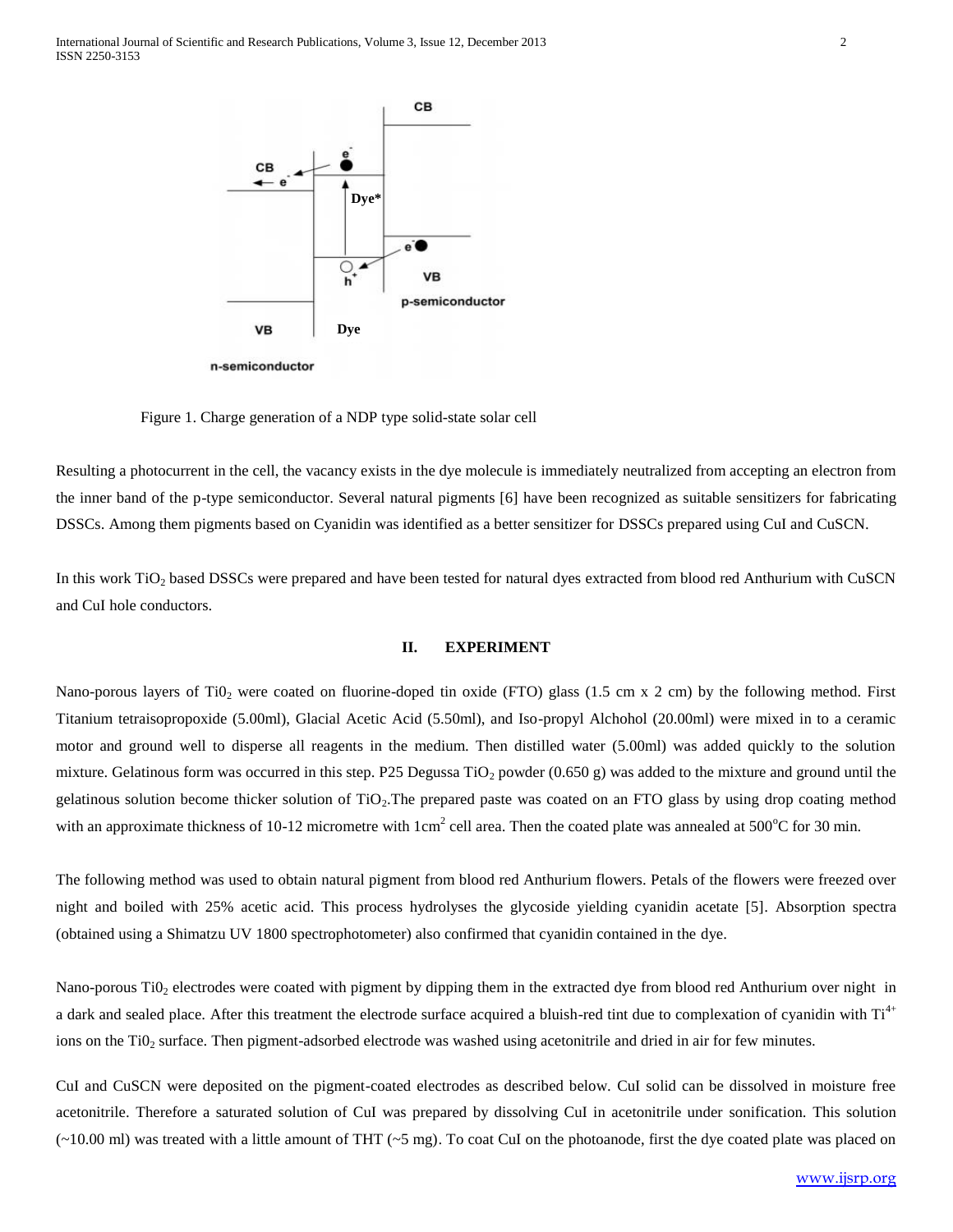

n-semiconductor

Figure 1. Charge generation of a NDP type solid-state solar cell

Resulting a photocurrent in the cell, the vacancy exists in the dye molecule is immediately neutralized from accepting an electron from the inner band of the p-type semiconductor. Several natural pigments [6] have been recognized as suitable sensitizers for fabricating DSSCs. Among them pigments based on Cyanidin was identified as a better sensitizer for DSSCs prepared using CuI and CuSCN.

In this work TiO<sub>2</sub> based DSSCs were prepared and have been tested for natural dyes extracted from blood red Anthurium with CuSCN and CuI hole conductors.

## **II. EXPERIMENT**

Nano-porous layers of TiO<sub>2</sub> were coated on fluorine-doped tin oxide (FTO) glass (1.5 cm x 2 cm) by the following method. First Titanium tetraisopropoxide (5.00ml), Glacial Acetic Acid (5.50ml), and Iso-propyl Alchohol (20.00ml) were mixed in to a ceramic motor and ground well to disperse all reagents in the medium. Then distilled water (5.00ml) was added quickly to the solution mixture. Gelatinous form was occurred in this step. P25 Degussa  $TiO<sub>2</sub>$  powder (0.650 g) was added to the mixture and ground until the gelatinous solution become thicker solution of  $TiO<sub>2</sub>$ . The prepared paste was coated on an FTO glass by using drop coating method with an approximate thickness of 10-12 micrometre with  $1 \text{cm}^2$  cell area. Then the coated plate was annealed at 500 °C for 30 min.

The following method was used to obtain natural pigment from blood red Anthurium flowers. Petals of the flowers were freezed over night and boiled with 25% acetic acid. This process hydrolyses the glycoside yielding cyanidin acetate [5]. Absorption spectra (obtained using a Shimatzu UV 1800 spectrophotometer) also confirmed that cyanidin contained in the dye.

Nano-porous TiO<sub>2</sub> electrodes were coated with pigment by dipping them in the extracted dye from blood red Anthurium over night in a dark and sealed place. After this treatment the electrode surface acquired a bluish-red tint due to complexation of cyanidin with  $Ti<sup>4+</sup>$ ions on the Ti0<sub>2</sub> surface. Then pigment-adsorbed electrode was washed using acetonitrile and dried in air for few minutes.

CuI and CuSCN were deposited on the pigment-coated electrodes as described below. CuI solid can be dissolved in moisture free acetonitrile. Therefore a saturated solution of CuI was prepared by dissolving CuI in acetonitrile under sonification. This solution  $(-10.00 \text{ ml})$  was treated with a little amount of THT  $(-5 \text{ mg})$ . To coat CuI on the photoanode, first the dye coated plate was placed on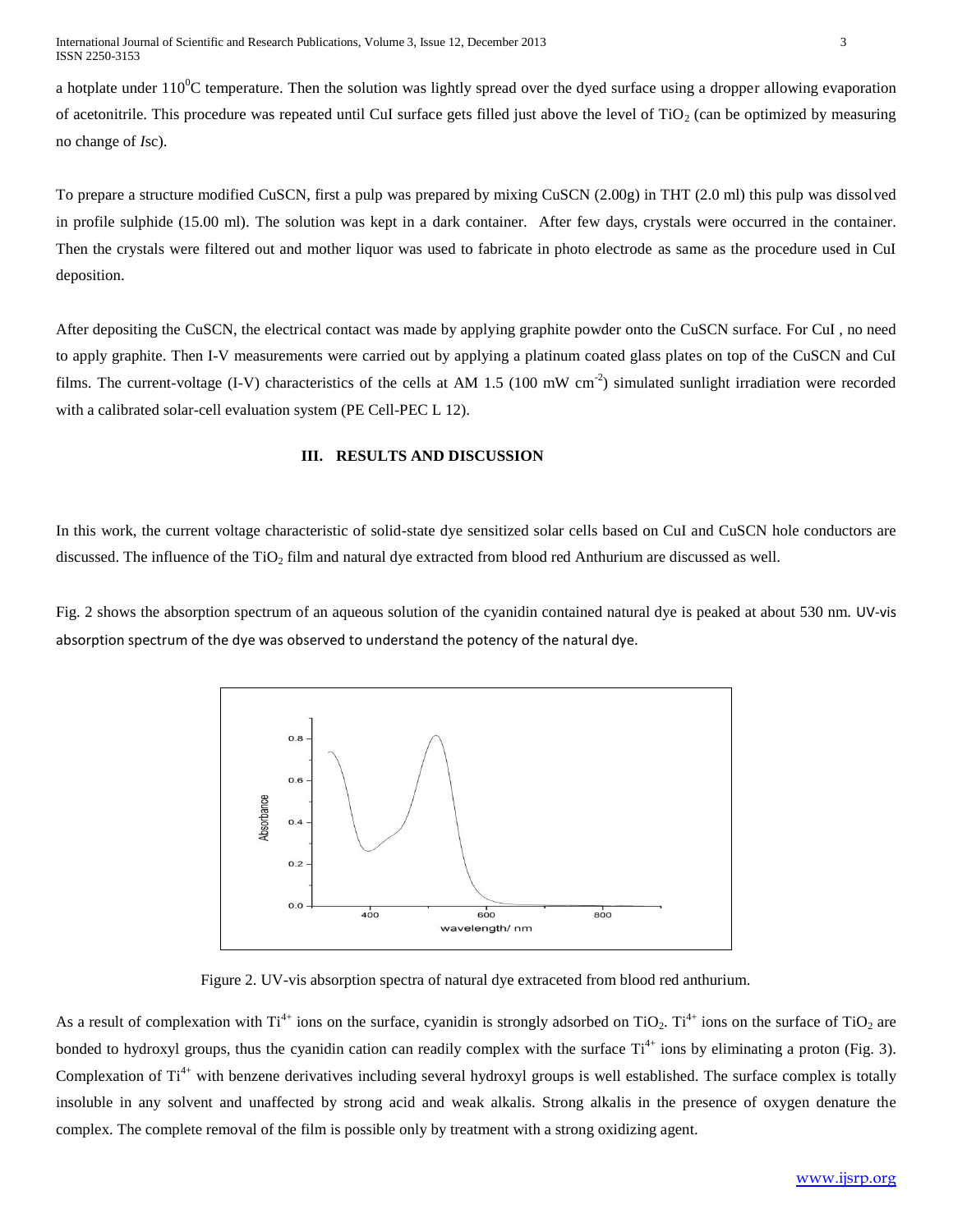a hotplate under  $110^{\circ}$ C temperature. Then the solution was lightly spread over the dyed surface using a dropper allowing evaporation of acetonitrile. This procedure was repeated until CuI surface gets filled just above the level of  $TiO<sub>2</sub>$  (can be optimized by measuring no change of *I*sc).

To prepare a structure modified CuSCN, first a pulp was prepared by mixing CuSCN (2.00g) in THT (2.0 ml) this pulp was dissolved in profile sulphide (15.00 ml). The solution was kept in a dark container. After few days, crystals were occurred in the container. Then the crystals were filtered out and mother liquor was used to fabricate in photo electrode as same as the procedure used in CuI deposition.

After depositing the CuSCN, the electrical contact was made by applying graphite powder onto the CuSCN surface. For CuI , no need to apply graphite. Then I-V measurements were carried out by applying a platinum coated glass plates on top of the CuSCN and CuI films. The current-voltage (I-V) characteristics of the cells at AM 1.5 (100 mW cm<sup>-2</sup>) simulated sunlight irradiation were recorded with a calibrated solar-cell evaluation system (PE Cell-PEC L 12).

### **III. RESULTS AND DISCUSSION**

In this work, the current voltage characteristic of solid-state dye sensitized solar cells based on CuI and CuSCN hole conductors are discussed. The influence of the TiO<sub>2</sub> film and natural dye extracted from blood red Anthurium are discussed as well.

Fig. 2 shows the absorption spectrum of an aqueous solution of the cyanidin contained natural dye is peaked at about 530 nm. UV-vis absorption spectrum of the dye was observed to understand the potency of the natural dye.



Figure 2. UV-vis absorption spectra of natural dye extraceted from blood red anthurium.

As a result of complexation with  $Ti^{4+}$  ions on the surface, cyanidin is strongly adsorbed on  $TiO_2$ .  $Ti^{4+}$  ions on the surface of  $TiO_2$  are bonded to hydroxyl groups, thus the cyanidin cation can readily complex with the surface  $Ti^{4+}$  ions by eliminating a proton (Fig. 3). Complexation of  $Ti^{4+}$  with benzene derivatives including several hydroxyl groups is well established. The surface complex is totally insoluble in any solvent and unaffected by strong acid and weak alkalis. Strong alkalis in the presence of oxygen denature the complex. The complete removal of the film is possible only by treatment with a strong oxidizing agent.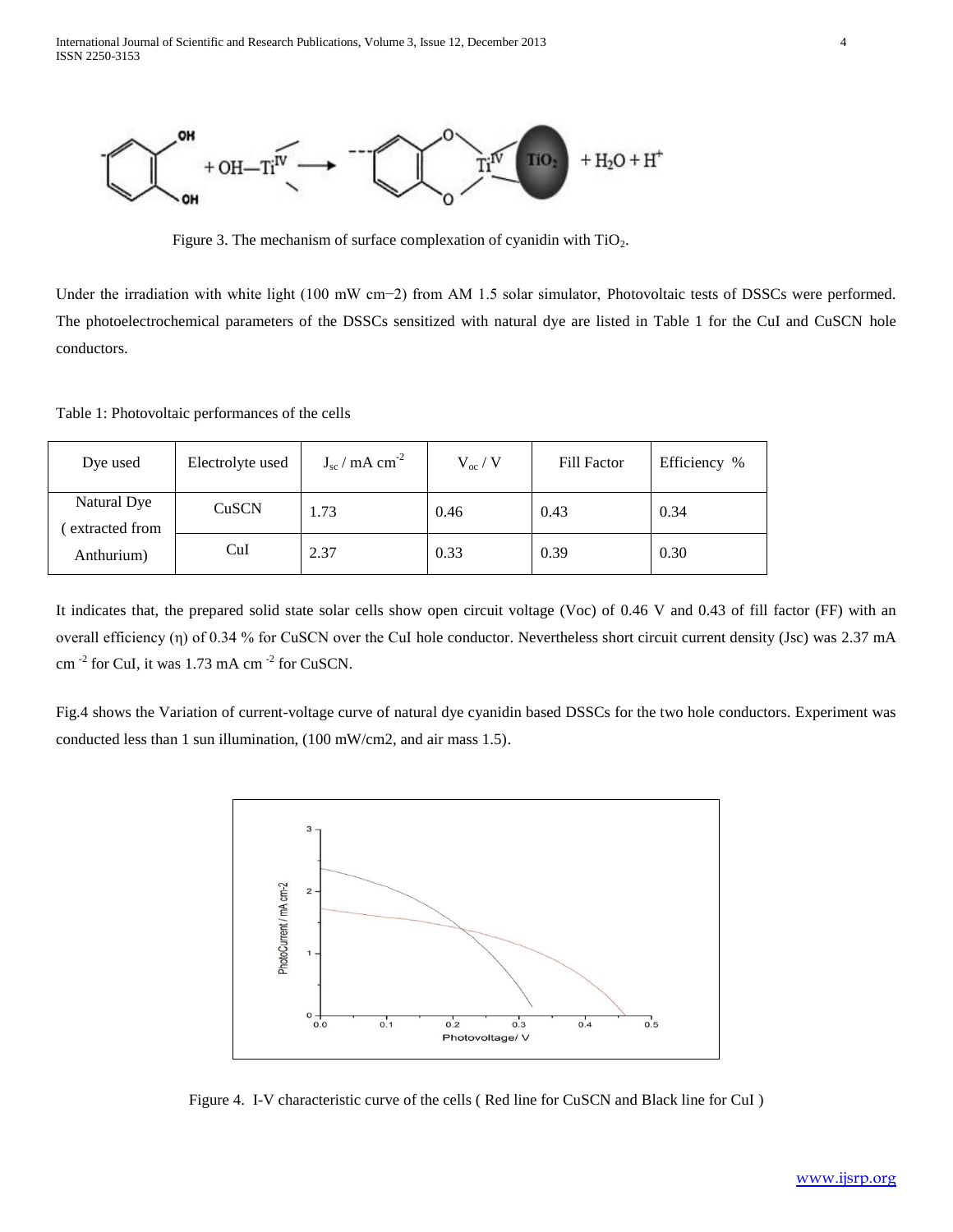

Figure 3. The mechanism of surface complexation of cyanidin with  $TiO<sub>2</sub>$ .

Under the irradiation with white light (100 mW cm−2) from AM 1.5 solar simulator, Photovoltaic tests of DSSCs were performed. The photoelectrochemical parameters of the DSSCs sensitized with natural dye are listed in Table 1 for the CuI and CuSCN hole conductors.

Table 1: Photovoltaic performances of the cells

| Dye used                                    | Electrolyte used | $J_{\rm sc}$ / mA cm <sup>-2</sup> | $V_{oc}$ / V | Fill Factor | Efficiency % |
|---------------------------------------------|------------------|------------------------------------|--------------|-------------|--------------|
| Natural Dye<br>extracted from<br>Anthurium) | CuSCN            | 1.73                               | 0.46         | 0.43        | 0.34         |
|                                             | CuI              | 2.37                               | 0.33         | 0.39        | 0.30         |

It indicates that, the prepared solid state solar cells show open circuit voltage (Voc) of 0.46 V and 0.43 of fill factor (FF) with an overall efficiency (η) of 0.34 % for CuSCN over the CuI hole conductor. Nevertheless short circuit current density (Jsc) was 2.37 mA cm  $^{-2}$  for CuI, it was 1.73 mA cm  $^{-2}$  for CuSCN.

Fig.4 shows the Variation of current-voltage curve of natural dye cyanidin based DSSCs for the two hole conductors. Experiment was conducted less than 1 sun illumination, (100 mW/cm2, and air mass 1.5).



Figure 4. I-V characteristic curve of the cells ( Red line for CuSCN and Black line for CuI )